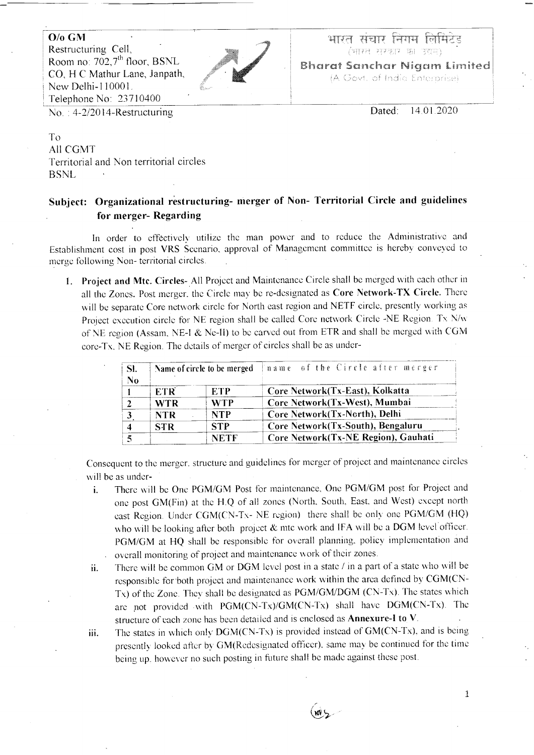$O$ / $\alpha$  GM

Restructuring Cell. Room no:  $702.7<sup>th</sup>$  floor, BSNL CO, H C Mathur Lane, Janpath, New Delhi-110001. Telephone No: 23710400  $No. : 4-2/2014$ -Restructuring



aper aana hana habaa (भारत सरकार का उदाम)

**Bharat Sanchar Niaam Limited** (A Govt. of India Enterprise)

> Dated: 14.01.2020

To All CGMT Territorial and Non territorial circles **BSNL** 

## Subject: Organizational restructuring- merger of Non- Territorial Circle and guidelines for merger-Regarding

In order to effectively utilize the man power and to reduce the Administrative and Establishment cost in post VRS Scenario, approval of Management committee is hereby conveyed to merge following Non-territorial circles.

1. Project and Mtc. Circles- All Project and Maintenance Circle shall be merged with each other in all the Zones. Post merger, the Circle may be re-designated as Core Network-TX Circle. There will be separate Core network circle for North east region and NETF circle, presently working as Project execution circle for NE region shall be called Core network Circle -NE Region. Tx N/w of NE region (Assam, NE-I & Ne-II) to be carved out from ETR and shall be merged with CGM core-Tx, NE Region. The details of merger of circles shall be as under-

| Sl.<br>N <sub>0</sub>   | Name of circle to be merged |             | name of the Circle after merger     |
|-------------------------|-----------------------------|-------------|-------------------------------------|
|                         | ETR <sup>'</sup>            | ETP         | Core Network (Tx-East), Kolkatta    |
|                         | <b>WTR</b>                  | <b>WTP</b>  | Core Network(Tx-West), Mumbai       |
| $\overline{\mathbf{3}}$ | <b>NTR</b>                  | <b>NTP</b>  | Core Network(Tx-North), Delhi       |
| 4                       | <b>STR</b>                  | <b>STP</b>  | Core Network(Tx-South), Bengaluru   |
| 5                       |                             | <b>NETF</b> | Core Network(Tx-NE Region), Gauhati |

Consequent to the merger, structure and guidelines for merger of project and maintenance circles will be as under-

- There will be One PGM/GM Post for maintenance, One PGM/GM post for Project and i. one post GM(Fin) at the H.Q of all zones (North, South, East, and West) except north east Region. Under CGM(CN-Tx- NE region) there shall be only one PGM/GM (HQ) who will be looking after both project  $\&$  mtc work and IFA will be a DGM level officer. PGM/GM at HQ shall be responsible for overall planning, policy implementation and overall monitoring of project and maintenance work of their zones.
- There will be common GM or DGM level post in a state / in a part of a state who will be ii. responsible for both project and maintenance work within the area defined by CGM(CN-Tx) of the Zone. They shall be designated as PGM/GM/DGM (CN-Tx). The states which are not provided with PGM(CN-Tx)/GM(CN-Tx) shall have DGM(CN-Tx). The structure of each zone has been detailed and is enclosed as Annexure-I to V.
- The states in which only DGM(CN-Tx) is provided instead of GM(CN-Tx), and is being iii. presently looked after by GM(Redesignated officer), same may be continued for the time being up, however no such posting in future shall be made against these post.

 $(w)$ ے

 $\mathbf{1}$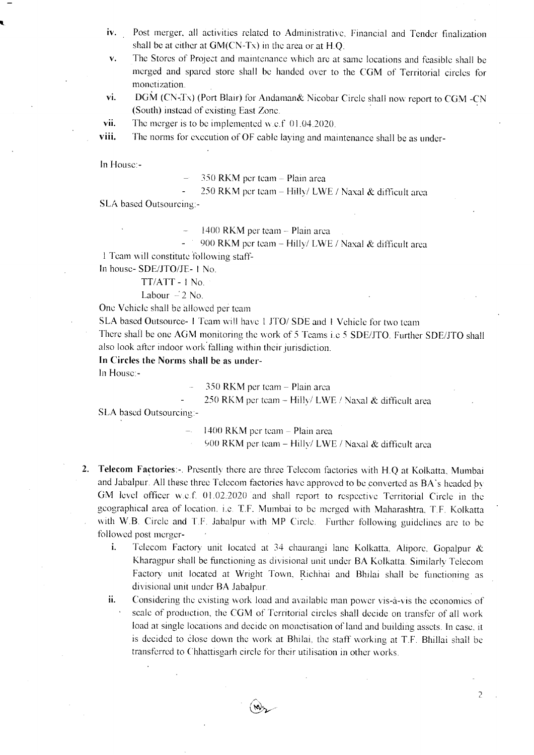- Post merger, all activities related to Administrative, Financial and Tender finalization iv. shall be at either at  $GM(CN-Tx)$  in the area or at  $H.O$ .
- $\mathbf{V}_{\bullet}$ The Stores of Project and maintenance which are at same locations and feasible shall be merged and spared store shall be handed over to the CGM of Territorial circles for monetization.
- vi. DGM (CN-Tx) (Port Blair) for Andaman& Nicobar Circle shall now report to CGM -CN (South) instead of existing East Zone.

vii. The merger is to be implemented w.e.f  $(01.04.2020)$ .

The norms for execution of OF cable laying and maintenance shall be as underviii.

In House:-

350 RKM per team - Plain area

250 RKM per team - Hilly/ LWE / Naxal & difficult area

SLA based Outsourcing:-

1400 RKM per team - Plain area

900 RKM per team - Hilly/ LWE / Naxal & difficult area

1 Team will constitute following staff-

In house-SDE/JTO/JE-1 No.

TT/ATT - 1 No.

Labour  $-2$  No.

One Vehicle shall be allowed per team

SLA based Outsource- 1 Team will have 1 JTO/SDE and 1 Vehicle for two team

There shall be one AGM monitoring the work of 5 Teams i.e 5 SDE/JTO. Further SDE/JTO shall also look after indoor work falling within their jurisdiction.

In Circles the Norms shall be as under-

In House:-

350 RKM per team - Plain area

250 RKM per team - Hilly/ LWE / Naxal & difficult area

SLA based Outsourcing:-

1400 RKM per team - Plain area

900 RKM per team - Hilly/ LWE / Naxal & difficult area

- 2. Telecom Factories:-. Presently there are three Telecom factories with H.Q at Kolkatta, Mumbai and Jabalpur. All these three Telecom factories have approved to be converted as BA's headed by GM level officer w.e.f. 01.02.2020 and shall report to respective Territorial Circle in the geographical area of location. i.e. T.F. Mumbai to be merged with Maharashtra, T.F. Kolkatta with W.B. Circle and T.F. Jabalpur with MP Circle. Further following guidelines are to be followed post merger-
	- Telecom Factory unit located at 34 chaurangi lane Kolkatta, Alipore, Gopalpur & i. Kharagpur shall be functioning as divisional unit under BA Kolkatta. Similarly Telecom Factory unit located at Wright Town, Richhai and Bhilai shall be functioning as divisional unit under BA Jabalpur.
	- Considering the existing work load and available man power vis-à-vis the economies of ii. scale of production, the CGM of Territorial circles shall decide on transfer of all work load at single locations and decide on monetisation of land and building assets. In case, it is decided to close down the work at Bhilai, the staff working at T.F. Bhillai shall be transferred to Chhattisgarh circle for their utilisation in other works.

 $(\omega_{\rm S}$ 

 $\overline{2}$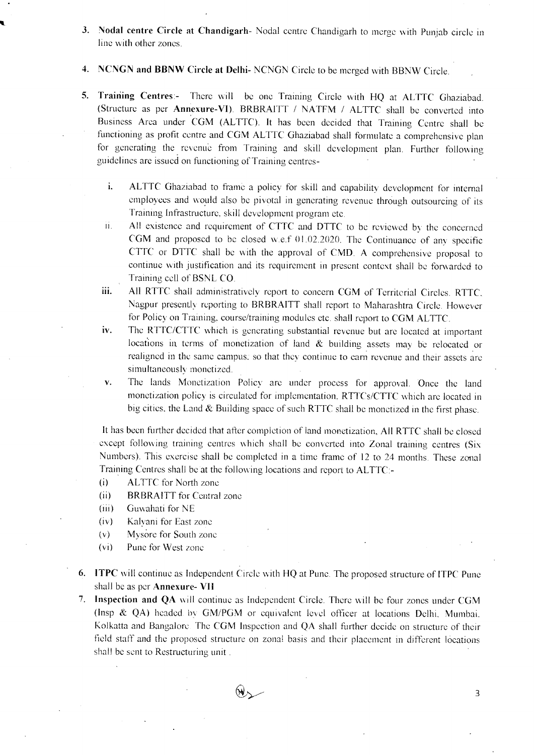- 3. Nodal centre Circle at Chandigarh- Nodal centre Chandigarh to merge with Punjab circle in line with other zones.
- 4. NCNGN and BBNW Circle at Delhi-NCNGN Circle to be merged with BBNW Circle.
- 5. Training Centres:- There will be one Training Circle with HQ at ALTTC Ghaziabad. (Structure as per Annexure-VI). BRBRAITT / NATFM / ALTTC shall be converted into Business Area under CGM (ALTTC). It has been decided that Training Centre shall be functioning as profit centre and CGM ALTTC Ghaziabad shall formulate a comprehensive plan for generating the revenue from Training and skill development plan. Further following guidelines are issued on functioning of Training centres
	- i. ALTTC Ghaziabad to frame a policy for skill and capability development for internal employees and would also be pivotal in generating revenue through outsourcing of its Training Infrastructure, skill development program etc.
	- ii. All existence and requirement of CTTC and DTTC to be reviewed by the concerned CGM and proposed to be closed w.e.f 01.02.2020. The Continuance of any specific CTTC or DTTC shall be with the approval of CMD. A comprehensive proposal to continue with justification and its requirement in present context shall be forwarded to Training cell of BSNL CO.
	- iii. All RTTC shall administratively report to concern CGM of Territorial Circles. RTTC, Nagpur presently reporting to BRBRAITT shall report to Maharashtra Circle. However for Policy on Training, course/training modules etc. shall report to CGM ALTTC.
	- iv. The RTTC/CTTC which is generating substantial revenue but are located at important locations in terms of monetization of land & building assets may be relocated or realigned in the same campus, so that they continue to earn revenue and their assets are simultaneously monetized.
	- The lands Monetization Policy are under process for approval. Once the land v. monetization policy is circulated for implementation, RTTCs/CTTC which are located in big cities, the Land  $&$  Building space of such RTTC shall be monetized in the first phase.

It has been further decided that after completion of land monetization, All RTTC shall be closed except following training centres which shall be converted into Zonal training centres (Six Numbers). This exercise shall be completed in a time frame of 12 to 24 months. These zonal Training Centres shall be at the following locations and report to ALTTC:-

- **ALTTC** for North zone  $(i)$
- $(ii)$ **BRBRAITT** for Central zone
- $(iii)$ Guwahati for NE
- $(iv)$ Kalvani for East zone
- Mysore for South zone  $(v)$
- Pune for West zone  $(v<sub>i</sub>)$
- 6. ITPC will continue as Independent Circle with HQ at Pune. The proposed structure of ITPC Pune shall be as per **Annexure- VII**
- 7. Inspection and QA will continue as Independent Circle. There will be four zones under CGM (Insp & QA) headed by GM/PGM or equivalent level officer at locations Delhi, Mumbai, Kolkatta and Bangalore. The CGM Inspection and QA shall further decide on structure of their field staff and the proposed structure on zonal basis and their placement in different locations shall be sent to Restructuring unit.



3